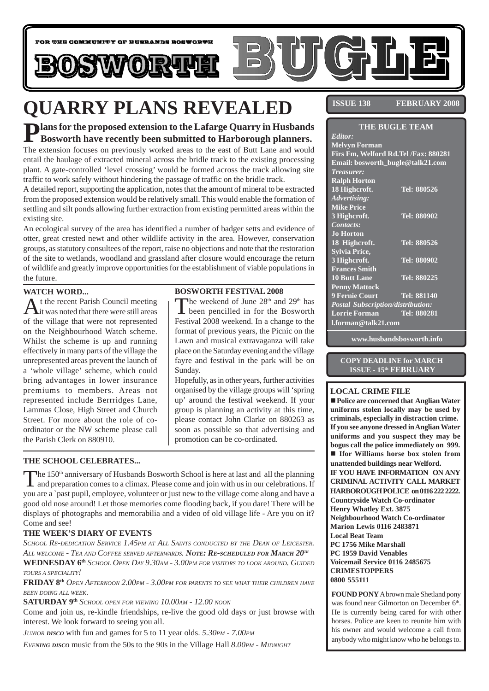

# **QUARRY PLANS REVEALED**

# **Plans for the proposed extension to the Lafarge Quarry in Husbands Bosworth have recently been submitted to Harborough planners.**

The extension focuses on previously worked areas to the east of Butt Lane and would entail the haulage of extracted mineral across the bridle track to the existing processing plant. A gate-controlled 'level crossing' would be formed across the track allowing site traffic to work safely without hindering the passage of traffic on the bridle track.

A detailed report, supporting the application, notes that the amount of mineral to be extracted from the proposed extension would be relatively small. This would enable the formation of settling and silt ponds allowing further extraction from existing permitted areas within the existing site.

An ecological survey of the area has identified a number of badger setts and evidence of otter, great crested newt and other wildlife activity in the area. However, conservation groups, as statutory consultees of the report, raise no objections and note that the restoration of the site to wetlands, woodland and grassland after closure would encourage the return of wildlife and greatly improve opportunities for the establishment of viable populations in the future.

#### **WATCH WORD...**

At the recent Parish Council meeting<br>it was noted that there were still areas of the village that were not represented on the Neighbourhood Watch scheme. Whilst the scheme is up and running effectively in many parts of the village the unrepresented areas prevent the launch of a 'whole village' scheme, which could bring advantages in lower insurance premiums to members. Areas not represented include Berrridges Lane, Lammas Close, High Street and Church Street. For more about the role of coordinator or the NW scheme please call the Parish Clerk on 880910.

### **BOSWORTH FESTIVAL 2008**

The weekend of June  $28<sup>th</sup>$  and  $29<sup>th</sup>$  has been pencilled in for the Bosworth Festival 2008 weekend. In a change to the format of previous years, the Picnic on the Lawn and musical extravaganza will take place on the Saturday evening and the village fayre and festival in the park will be on Sunday.

Hopefully, as in other years, further activities organised by the village groups will 'spring up' around the festival weekend. If your group is planning an activity at this time, please contact John Clarke on 880263 as soon as possible so that advertising and promotion can be co-ordinated.

### **THE SCHOOL CELEBRATES...**

The 150<sup>th</sup> anniversary of Husbands Bosworth School is here at last and all the planning and preparation comes to a climax. Please come and join with us in our celebrations. If you are a `past pupil, employee, volunteer or just new to the village come along and have a good old nose around! Let those memories come flooding back, if you dare! There will be displays of photographs and memorabilia and a video of old village life - Are you on it? Come and see!

### **THE WEEK'S DIARY OF EVENTS**

*SCHOOL RE-DEDICATION SERVICE 1.45PM AT ALL SAINTS CONDUCTED BY THE DEAN OF LEICESTER. ALL WELCOME - TEA AND COFFEE SERVED AFTERWARDS. NOTE: RE-SCHEDULED FOR MARCH 20TH* **WEDNESDAY 6th** *SCHOOL OPEN DAY 9.30AM - 3.00PM FOR VISITORS TO LOOK AROUND. GUIDED TOURS <sup>A</sup> SPECIALITY!*

**FRIDAY 8th** *OPEN AFTERNOON 2.00PM - 3.00PM FOR PARENTS TO SEE WHAT THEIR CHILDREN HAVE BEEN DOING ALL WEEK.*

**SATURDAY 9th** *SCHOOL OPEN FOR VIEWING 10.00AM - 12.00 NOON*

Come and join us, re-kindle friendships, re-live the good old days or just browse with interest. We look forward to seeing you all.

*JUNIOR DISCO* with fun and games for 5 to 11 year olds. 5.30PM - 7.00PM

*EVENING DISCO* music from the 50s to the 90s in the Village Hall *8.00PM - MIDNIGHT* 

**ISSUE 138 FEBRUARY 2008** 

| <b>THE BUGLE TEAM</b>                    |                    |
|------------------------------------------|--------------------|
| Editor:                                  |                    |
| <b>Melvyn Forman</b>                     |                    |
| Firs Fm, Welford Rd.Tel /Fax: 880281     |                    |
| Email: bosworth_bugle@talk21.com         |                    |
| <i>Treasurer:</i>                        |                    |
| <b>Ralph Horton</b>                      |                    |
| 18 Highcroft.                            | Tel: 880526        |
| Advertising:                             |                    |
| <b>Mike Price</b>                        |                    |
| 3 Highcroft.                             | Tel: 880902        |
| Contacts:                                |                    |
| <b>Jo Horton</b>                         |                    |
| 18 Highcroft.                            | Tel: 880526        |
| <b>Sylvia Price,</b>                     |                    |
| 3 Highcroft.                             | Tel: 880902        |
| <b>Frances Smith</b>                     |                    |
| <b>10 Butt Lane</b>                      | Tel: 880225        |
| <b>Penny Mattock</b>                     |                    |
| 9 Fernie Court                           | <b>Tel: 881140</b> |
| <b>Postal Subscription/distribution:</b> |                    |
| <b>Lorrie Forman</b>                     | Tel: 880281        |
| l.forman@talk21.com                      |                    |

**www.husbandsbosworth.info**

#### **COPY DEADLINE for MARCH ISSUE - 15th FEBRUARY**

#### **LOCAL CRIME FILE**

! **Police are concerned that Anglian Water uniforms stolen locally may be used by criminals, especially in distraction crime. If you see anyone dressed in Anglian Water uniforms and you suspect they may be bogus call the police immediately on 999.** ! **Ifor Williams horse box stolen from unattended buildings near Welford. IF YOU HAVE INFORMATION ON ANY CRIMINAL ACTIVITY CALL MARKET HARBOROUGH POLICE on 0116 222 2222. Countryside Watch Co-ordinator Henry Whatley Ext. 3875 Neighbourhood Watch Co-ordinator Marion Lewis 0116 2483871 Local Beat Team PC 1756 Mike Marshall PC 1959 David Venables Voicemail Service 0116 2485675 CRIMESTOPPERS 0800 555111**

**FOUND PONY** A brown male Shetland pony was found near Gilmorton on December 6<sup>th</sup>. He is currently being cared for with other horses. Police are keen to reunite him with his owner and would welcome a call from anybody who might know who he belongs to.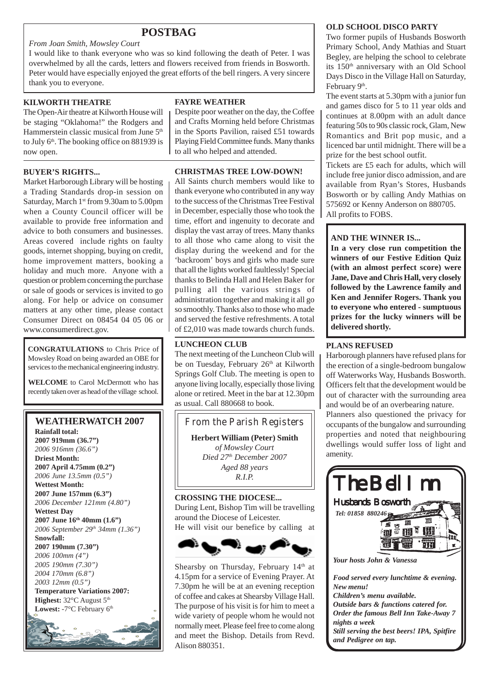# **POSTBAG**

#### *From Joan Smith, Mowsley Court*

I would like to thank everyone who was so kind following the death of Peter. I was overwhelmed by all the cards, letters and flowers received from friends in Bosworth. Peter would have especially enjoyed the great efforts of the bell ringers. A very sincere thank you to everyone.

#### **KILWORTH THEATRE**

The Open-Air theatre at Kilworth House will be staging "Oklahoma!" the Rodgers and Hammerstein classic musical from June 5<sup>th</sup> to July  $6<sup>th</sup>$ . The booking office on 881939 is now open.

#### **BUYER'S RIGHTS...**

Market Harborough Library will be hosting a Trading Standards drop-in session on Saturday, March 1<sup>st</sup> from 9.30am to 5.00pm when a County Council officer will be available to provide free information and advice to both consumers and businesses. Areas covered include rights on faulty goods, internet shopping, buying on credit, home improvement matters, booking a holiday and much more. Anyone with a question or problem concerning the purchase or sale of goods or services is invited to go along. For help or advice on consumer matters at any other time, please contact Consumer Direct on 08454 04 05 06 or www.consumerdirect.gov.

**CONGRATULATIONS** to Chris Price of Mowsley Road on being awarded an OBE for services to the mechanical engineering industry.

**WELCOME** to Carol McDermott who has recently taken over as head of the village school.

# **WEATHERWATCH 2007**

**Rainfall total: 2007 919mm (36.7")** *2006 916mm (36.6")* **Driest Month: 2007 April 4.75mm (0.2")** *2006 June 13.5mm (0.5")* **Wettest Month: 2007 June 157mm (6.3")** *2006 December 121mm (4.80")* **Wettest Day 2007 June 16th 40mm (1.6")** *2006 September 29th 34mm (1.36")* **Snowfall: 2007 190mm (7.30")** *2006 100mm (4") 2005 190mm (7.30") 2004 170mm (6.8") 2003 12mm (0.5")* **Temperature Variations 2007: Highest:** 32°C August 5<sup>th</sup> Lowest: -7°C February 6<sup>th</sup>

#### **FAYRE WEATHER**

Despite poor weather on the day, the Coffee and Crafts Morning held before Christmas in the Sports Pavilion, raised £51 towards Playing Field Committee funds. Many thanks to all who helped and attended.

#### **CHRISTMAS TREE LOW-DOWN!**

All Saints church members would like to thank everyone who contributed in any way to the success of the Christmas Tree Festival in December, especially those who took the time, effort and ingenuity to decorate and display the vast array of trees. Many thanks to all those who came along to visit the display during the weekend and for the 'backroom' boys and girls who made sure that all the lights worked faultlessly! Special thanks to Belinda Hall and Helen Baker for pulling all the various strings of administration together and making it all go so smoothly. Thanks also to those who made and served the festive refreshments. A total of £2,010 was made towards church funds.

#### **LUNCHEON CLUB**

The next meeting of the Luncheon Club will be on Tuesday, February 26<sup>th</sup> at Kilworth Springs Golf Club. The meeting is open to anyone living locally, especially those living alone or retired. Meet in the bar at 12.30pm as usual. Call 880668 to book.



During Lent, Bishop Tim will be travelling around the Diocese of Leicester. He will visit our benefice by calling at



Shearsby on Thursday, February  $14<sup>th</sup>$  at 4.15pm for a service of Evening Prayer. At 7.30pm he will be at an evening reception of coffee and cakes at Shearsby Village Hall. The purpose of his visit is for him to meet a wide variety of people whom he would not normally meet. Please feel free to come along and meet the Bishop. Details from Revd. Alison 880351.

#### **OLD SCHOOL DISCO PARTY**

Two former pupils of Husbands Bosworth Primary School, Andy Mathias and Stuart Begley, are helping the school to celebrate its 150<sup>th</sup> anniversary with an Old School Days Disco in the Village Hall on Saturday, February 9th.

The event starts at 5.30pm with a junior fun and games disco for 5 to 11 year olds and continues at 8.00pm with an adult dance featuring 50s to 90s classic rock, Glam, New Romantics and Brit pop music, and a licenced bar until midnight. There will be a prize for the best school outfit.

Tickets are £5 each for adults, which will include free junior disco admission, and are available from Ryan's Stores, Husbands Bosworth or by calling Andy Mathias on 575692 or Kenny Anderson on 880705. All profits to FOBS.

#### **AND THE WINNER IS...**

**In a very close run competition the winners of our Festive Edition Quiz (with an almost perfect score) were Jane, Dave and Chris Hall, very closely followed by the Lawrence family and Ken and Jennifer Rogers. Thank you to everyone who entered - sumptuous prizes for the lucky winners will be delivered shortly.**

#### **PLANS REFUSED**

Harborough planners have refused plans for the erection of a single-bedroom bungalow off Waterworks Way, Husbands Bosworth. Officers felt that the development would be out of character with the surrounding area and would be of an overbearing nature.

Planners also questioned the privacy for occupants of the bungalow and surrounding properties and noted that neighbouring dwellings would suffer loss of light and amenity.



*Food served every lunchtime & evening. New menu! Children's menu available. Outside bars & functions catered for. Order the famous Bell Inn Take-Away 7 nights a week Still serving the best beers! IPA, Spitfire and Pedigree on tap.*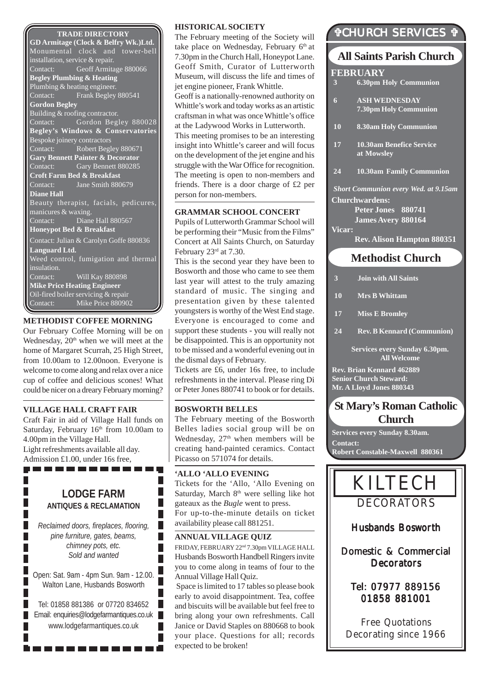#### **TRADE DIRECTORY**

**GD Armitage (Clock & Belfry Wk.)Ltd.** Monumental clock and tower-bell installation, service & repair. Contact: Geoff Armitage 880066 **Begley Plumbing & Heating** Plumbing & heating engineer.<br>Contact: Frank Beglev Frank Begley 880541 **Gordon Begley** Building & roofing contractor. Contact: Gordon Begley 880028 **Begley's Windows & Conservatories** Bespoke joinery contractors Contact: Robert Begley 880671 **Gary Bennett Painter & Decorator** Contact: Gary Bennett 880285 **Croft Farm Bed & Breakfast** Contact: Jane Smith 880679 **Diane Hall** Beauty therapist, facials, pedicures, manicures & waxing. Contact: Diane Hall 880567 **Honeypot Bed & Breakfast** Contact: Julian & Carolyn Goffe 880836 **Languard Ltd.** Weed control, fumigation and thermal insulation. Contact: Will Kay 880898 **Mike Price Heating Engineer** Oil-fired boiler servicing & repair Contact: Mike Price 880902

#### **METHODIST COFFEE MORNING**

Our February Coffee Morning will be on Wednesday,  $20<sup>th</sup>$  when we will meet at the home of Margaret Scurrah, 25 High Street, from 10.00am to 12.00noon. Everyone is welcome to come along and relax over a nice cup of coffee and delicious scones! What could be nicer on a dreary February morning?

#### **VILLAGE HALL CRAFT FAIR**

П П

Craft Fair in aid of Village Hall funds on Saturday, February 16<sup>th</sup> from 10.00am to 4.00pm in the Village Hall. Light refreshments available all day. Admission £1.00, under 16s free,-------------

### **LODGE FARM ANTIQUES & RECLAMATION**

*Reclaimed doors, fireplaces, flooring, pine furniture, gates, beams, chimney pots, etc. Sold and wanted*

Open: Sat. 9am - 4pm Sun. 9am - 12.00. Walton Lane, Husbands Bosworth

Tel: 01858 881386 or 07720 834652 T. Email: enquiries@lodgefarmantiques.co.uk www.lodgefarmantiques.co.uk

. . . . . . . . . . . .

#### **HISTORICAL SOCIETY**

The February meeting of the Society will take place on Wednesday, February 6<sup>th</sup> at 7.30pm in the Church Hall, Honeypot Lane. Geoff Smith, Curator of Lutterworth Museum, will discuss the life and times of jet engine pioneer, Frank Whittle. Geoff is a nationally-renowned authority on Whittle's work and today works as an artistic craftsman in what was once Whittle's office at the Ladywood Works in Lutterworth. This meeting promises to be an interesting insight into Whittle's career and will focus on the development of the jet engine and his struggle with the War Office for recognition. The meeting is open to non-members and friends. There is a door charge of £2 per person for non-members.

#### **GRAMMAR SCHOOL CONCERT**

Pupils of Lutterworth Grammar School will be performing their "Music from the Films" Concert at All Saints Church, on Saturday February 23rd at 7.30.

This is the second year they have been to Bosworth and those who came to see them last year will attest to the truly amazing standard of music. The singing and presentation given by these talented youngsters is worthy of the West End stage. Everyone is encouraged to come and support these students - you will really not be disappointed. This is an opportunity not to be missed and a wonderful evening out in the dismal days of February.

Tickets are £6, under 16s free, to include refreshments in the interval. Please ring Di or Peter Jones 880741 to book or for details.

#### **BOSWORTH BELLES**

The February meeting of the Bosworth Belles ladies social group will be on Wednesday,  $27<sup>th</sup>$  when members will be creating hand-painted ceramics. Contact Picasso on 571074 for details.

#### **'ALLO 'ALLO EVENING**

Tickets for the 'Allo, 'Allo Evening on Saturday, March  $8<sup>th</sup>$  were selling like hot gateaux as the *Bugle* went to press. For up-to-the-minute details on ticket availability please call 881251.

#### **ANNUAL VILLAGE QUIZ**

г Г L Г

П

FRIDAY, FEBRUARY 22nd 7.30pm VILLAGE HALL Husbands Bosworth Handbell Ringers invite you to come along in teams of four to the Annual Village Hall Quiz.

 Space is limited to 17 tables so please book early to avoid disappointment. Tea, coffee and biscuits will be available but feel free to bring along your own refreshments. Call Janice or David Staples on 880668 to book your place. Questions for all; records expected to be broken!

# "CHURCH SERVICES "

# **Methodist Church All Saints Parish Church FEBRUARY 3 Join with All Saints 3 6.30pm Holy Communion 6 ASH WEDNESDAY 7.30pm Holy Communion 10 8.30am Holy Communion 17 10.30am Benefice Service at Mowsley 24 10.30am Family Communion** *Short Communion every Wed. at 9.15am* **Churchwardens: Peter Jones 880741 James Avery 880164 Vicar: Rev. Alison Hampton 880351**

- **10 Mrs B Whittam**
- **17 Miss E Bromley**
- **24 Rev. B Kennard (Communion)**

**Services every Sunday 6.30pm. All Welcome**

**Rev. Brian Kennard 462889 Senior Church Steward: Mr. A Lloyd Jones 880343**

# **St Mary's Roman Catholic Church**

**Services every Sunday 8.30am. Contact: Robert Constable-Maxwell 880361**